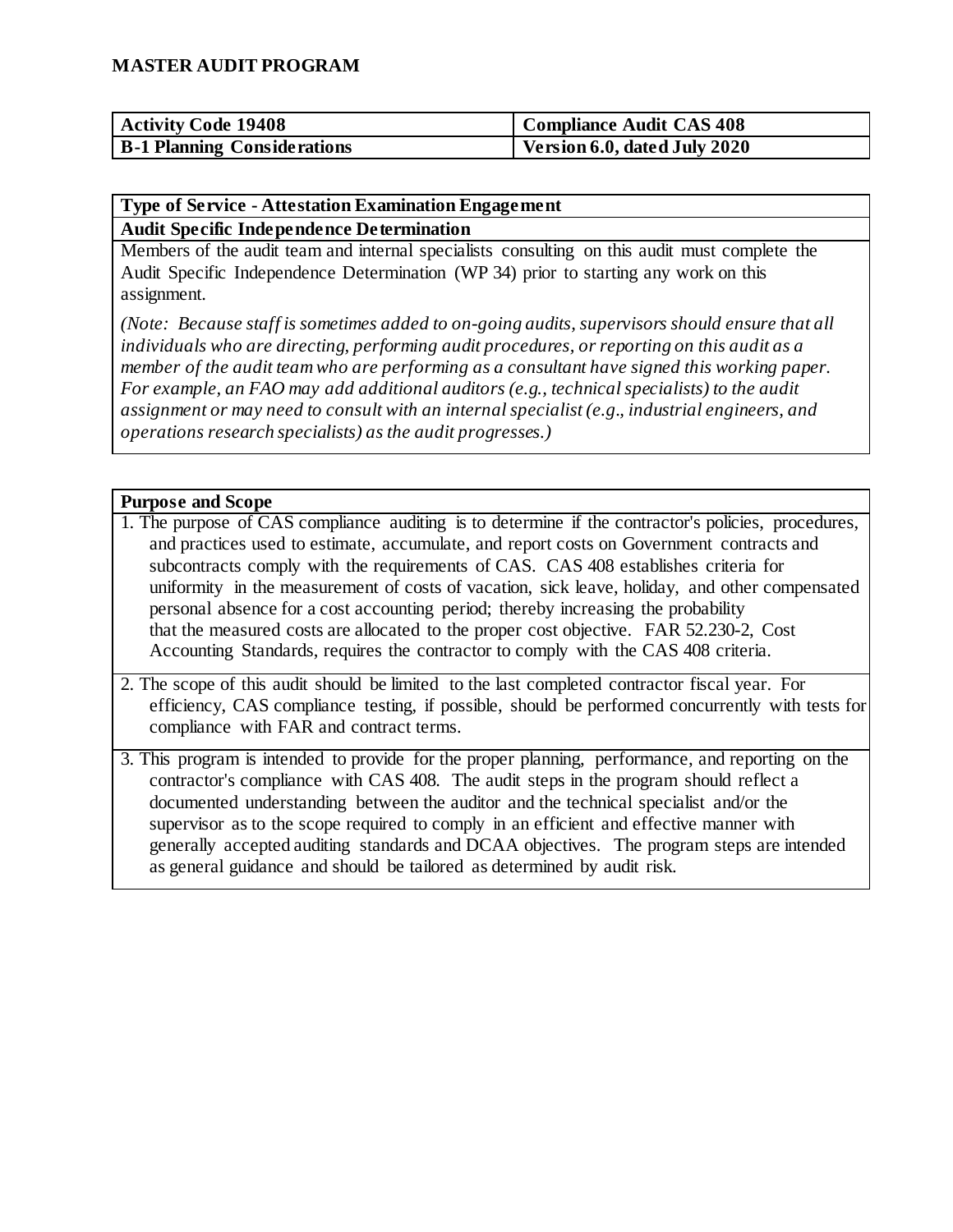| <b>Activity Code 19408</b>         | Compliance Audit CAS 408     |
|------------------------------------|------------------------------|
| <b>B-1 Planning Considerations</b> | Version 6.0, dated July 2020 |

# **Type of Service - Attestation Examination Engagement**

#### **Audit Specific Independence Determination**

Members of the audit team and internal specialists consulting on this audit must complete the Audit Specific Independence Determination (WP 34) prior to starting any work on this assignment.

*(Note: Because staff is sometimes added to on-going audits, supervisors should ensure that all individuals who are directing, performing audit procedures, or reporting on this audit as a member of the audit team who are performing as a consultant have signed this working paper. For example, an FAO may add additional auditors (e.g., technical specialists) to the audit assignment or may need to consult with an internal specialist (e.g., industrial engineers, and operations research specialists) as the audit progresses.)*

#### **Purpose and Scope**

- 1. The purpose of CAS compliance auditing is to determine if the contractor's policies, procedures, and practices used to estimate, accumulate, and report costs on Government contracts and subcontracts comply with the requirements of CAS. CAS 408 establishes criteria for uniformity in the measurement of costs of vacation, sick leave, holiday, and other compensated personal absence for a cost accounting period; thereby increasing the probability that the measured costs are allocated to the proper cost objective. FAR 52.230-2, Cost Accounting Standards, requires the contractor to comply with the CAS 408 criteria.
- 2. The scope of this audit should be limited to the last completed contractor fiscal year. For efficiency, CAS compliance testing, if possible, should be performed concurrently with tests for compliance with FAR and contract terms.
- 3. This program is intended to provide for the proper planning, performance, and reporting on the contractor's compliance with CAS 408. The audit steps in the program should reflect a documented understanding between the auditor and the technical specialist and/or the supervisor as to the scope required to comply in an efficient and effective manner with generally accepted auditing standards and DCAA objectives. The program steps are intended as general guidance and should be tailored as determined by audit risk.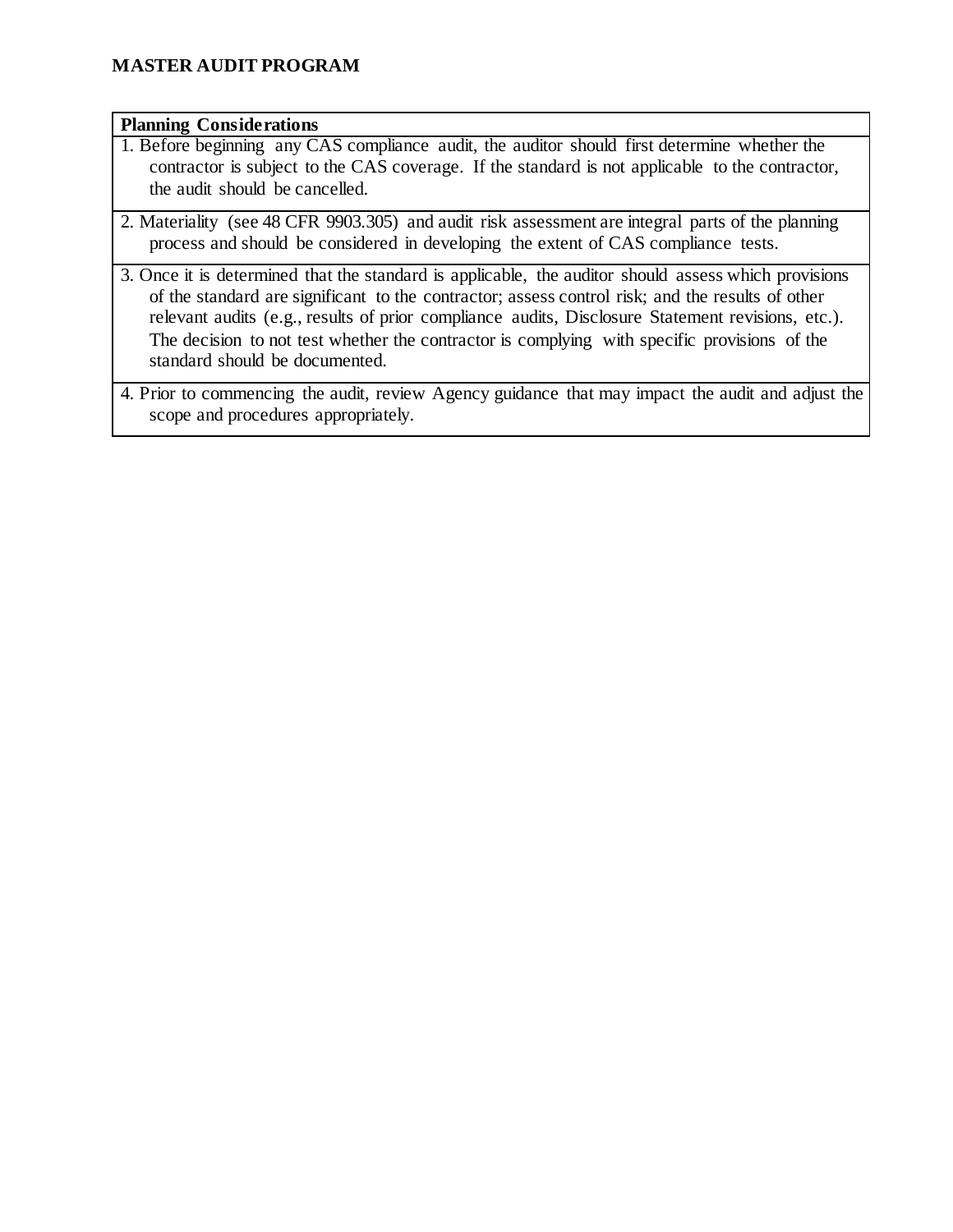#### **Planning Considerations**

- 1. Before beginning any CAS compliance audit, the auditor should first determine whether the contractor is subject to the CAS coverage. If the standard is not applicable to the contractor, the audit should be cancelled.
- 2. Materiality (see 48 CFR 9903.305) and audit risk assessment are integral parts of the planning process and should be considered in developing the extent of CAS compliance tests.
- 3. Once it is determined that the standard is applicable, the auditor should assess which provisions of the standard are significant to the contractor; assess control risk; and the results of other relevant audits (e.g., results of prior compliance audits, Disclosure Statement revisions, etc.). The decision to not test whether the contractor is complying with specific provisions of the standard should be documented.
- 4. Prior to commencing the audit, review Agency guidance that may impact the audit and adjust the scope and procedures appropriately.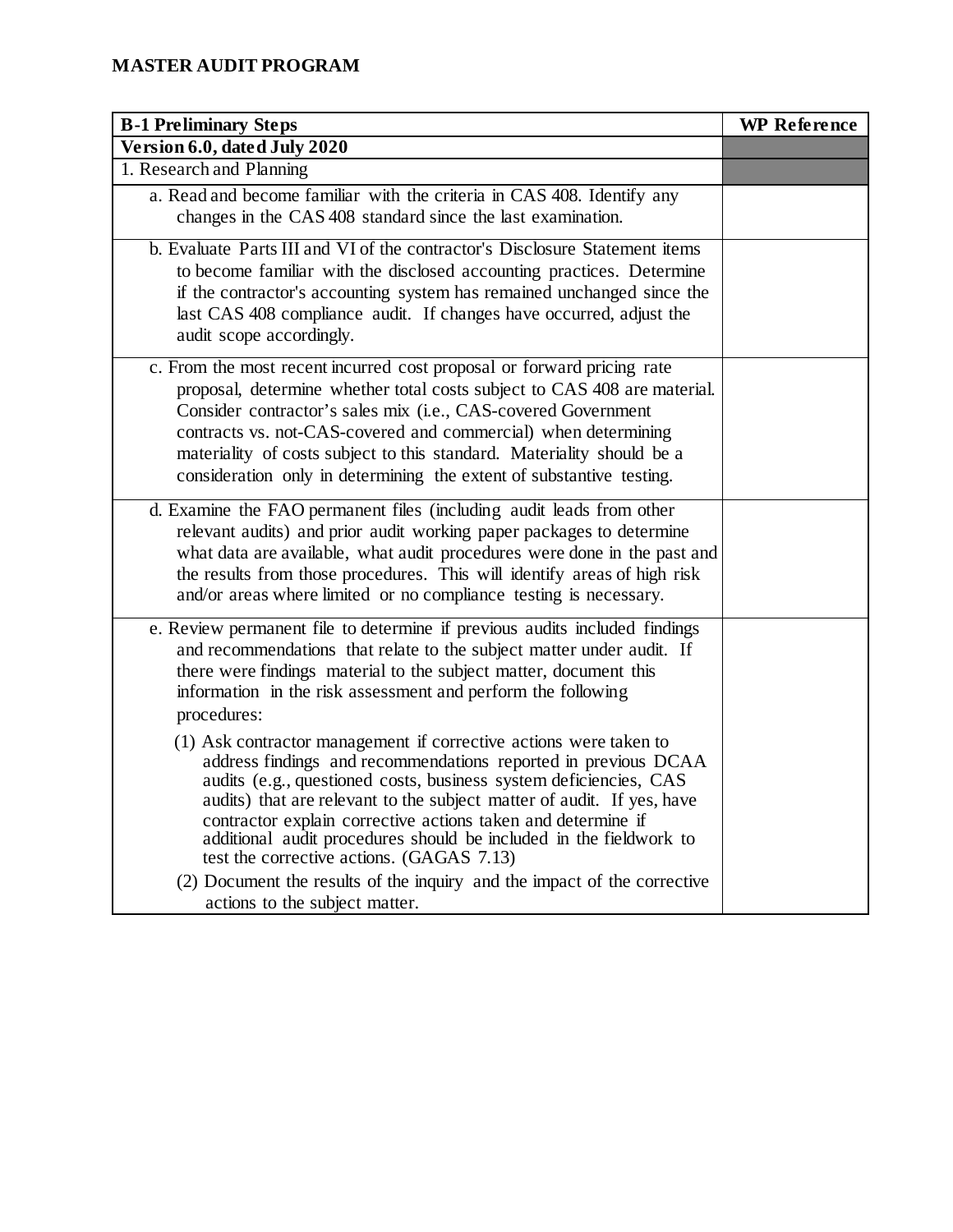| <b>B-1 Preliminary Steps</b>                                                                                                                                                                                                                                                                                                                                                                                                                                          | <b>WP</b> Reference |
|-----------------------------------------------------------------------------------------------------------------------------------------------------------------------------------------------------------------------------------------------------------------------------------------------------------------------------------------------------------------------------------------------------------------------------------------------------------------------|---------------------|
| Version 6.0, dated July $2\overline{020}$                                                                                                                                                                                                                                                                                                                                                                                                                             |                     |
| 1. Research and Planning                                                                                                                                                                                                                                                                                                                                                                                                                                              |                     |
| a. Read and become familiar with the criteria in CAS 408. Identify any<br>changes in the CAS 408 standard since the last examination.                                                                                                                                                                                                                                                                                                                                 |                     |
| b. Evaluate Parts III and VI of the contractor's Disclosure Statement items<br>to become familiar with the disclosed accounting practices. Determine<br>if the contractor's accounting system has remained unchanged since the<br>last CAS 408 compliance audit. If changes have occurred, adjust the<br>audit scope accordingly.                                                                                                                                     |                     |
| c. From the most recent incurred cost proposal or forward pricing rate<br>proposal, determine whether total costs subject to CAS 408 are material.<br>Consider contractor's sales mix (i.e., CAS-covered Government<br>contracts vs. not-CAS-covered and commercial) when determining<br>materiality of costs subject to this standard. Materiality should be a<br>consideration only in determining the extent of substantive testing.                               |                     |
| d. Examine the FAO permanent files (including audit leads from other<br>relevant audits) and prior audit working paper packages to determine<br>what data are available, what audit procedures were done in the past and<br>the results from those procedures. This will identify areas of high risk<br>and/or areas where limited or no compliance testing is necessary.                                                                                             |                     |
| e. Review permanent file to determine if previous audits included findings<br>and recommendations that relate to the subject matter under audit. If<br>there were findings material to the subject matter, document this<br>information in the risk assessment and perform the following<br>procedures:                                                                                                                                                               |                     |
| (1) Ask contractor management if corrective actions were taken to<br>address findings and recommendations reported in previous DCAA<br>audits (e.g., questioned costs, business system deficiencies, CAS<br>audits) that are relevant to the subject matter of audit. If yes, have<br>contractor explain corrective actions taken and determine if<br>additional audit procedures should be included in the fieldwork to<br>test the corrective actions. (GAGAS 7.13) |                     |
| (2) Document the results of the inquiry and the impact of the corrective<br>actions to the subject matter.                                                                                                                                                                                                                                                                                                                                                            |                     |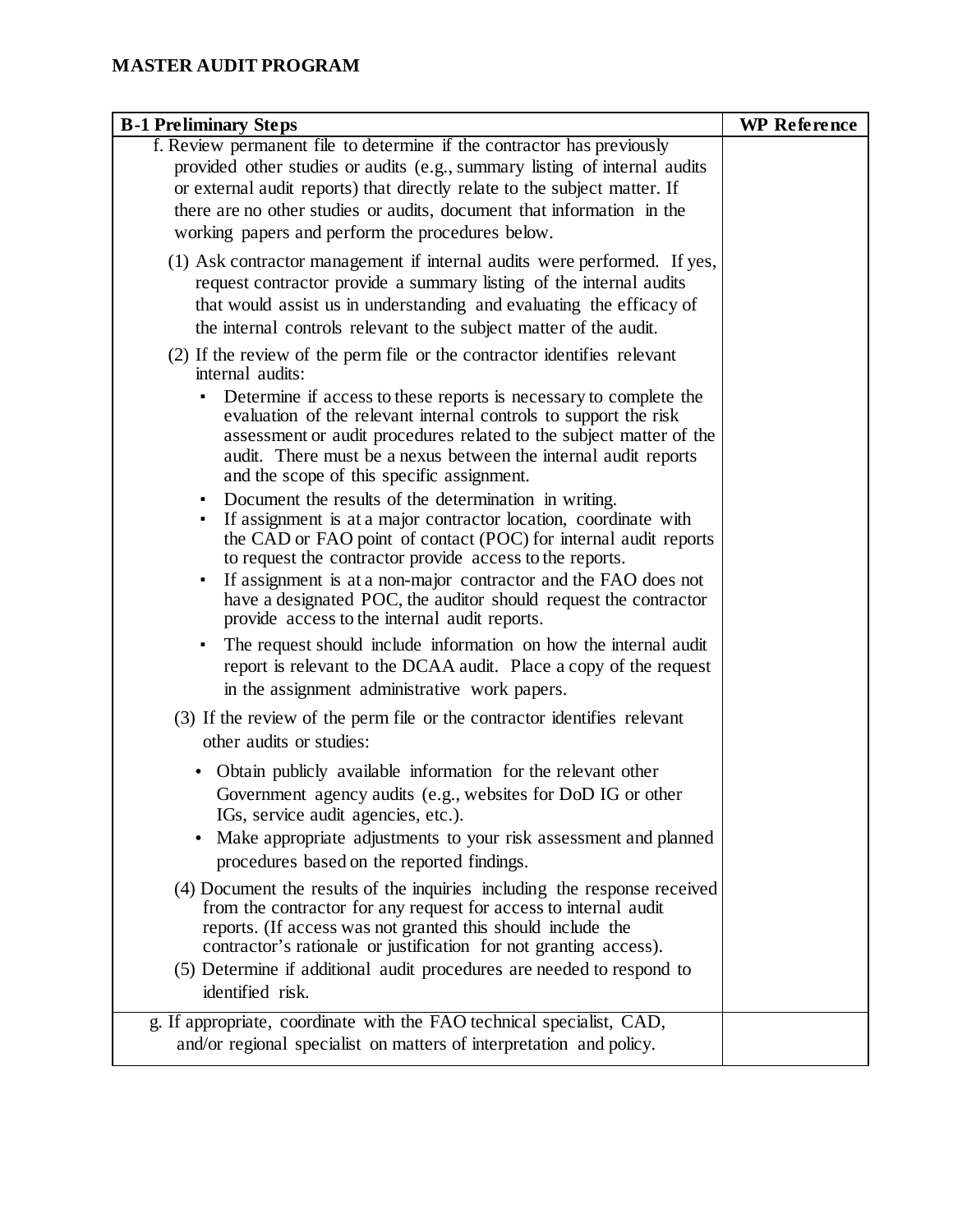| <b>B-1 Preliminary Steps</b>                                                                                                                                                                                                                                                                                                                                                                                                                                     | <b>WP Reference</b> |
|------------------------------------------------------------------------------------------------------------------------------------------------------------------------------------------------------------------------------------------------------------------------------------------------------------------------------------------------------------------------------------------------------------------------------------------------------------------|---------------------|
| f. Review permanent file to determine if the contractor has previously<br>provided other studies or audits (e.g., summary listing of internal audits                                                                                                                                                                                                                                                                                                             |                     |
| or external audit reports) that directly relate to the subject matter. If                                                                                                                                                                                                                                                                                                                                                                                        |                     |
| there are no other studies or audits, document that information in the                                                                                                                                                                                                                                                                                                                                                                                           |                     |
| working papers and perform the procedures below.                                                                                                                                                                                                                                                                                                                                                                                                                 |                     |
| (1) Ask contractor management if internal audits were performed. If yes,<br>request contractor provide a summary listing of the internal audits<br>that would assist us in understanding and evaluating the efficacy of<br>the internal controls relevant to the subject matter of the audit.                                                                                                                                                                    |                     |
| (2) If the review of the perm file or the contractor identifies relevant<br>internal audits:                                                                                                                                                                                                                                                                                                                                                                     |                     |
| Determine if access to these reports is necessary to complete the<br>evaluation of the relevant internal controls to support the risk<br>assessment or audit procedures related to the subject matter of the<br>audit. There must be a nexus between the internal audit reports<br>and the scope of this specific assignment.                                                                                                                                    |                     |
| Document the results of the determination in writing.<br>٠<br>If assignment is at a major contractor location, coordinate with<br>٠<br>the CAD or FAO point of contact (POC) for internal audit reports<br>to request the contractor provide access to the reports.<br>If assignment is at a non-major contractor and the FAO does not<br>٠<br>have a designated POC, the auditor should request the contractor<br>provide access to the internal audit reports. |                     |
| The request should include information on how the internal audit<br>٠<br>report is relevant to the DCAA audit. Place a copy of the request<br>in the assignment administrative work papers.                                                                                                                                                                                                                                                                      |                     |
| (3) If the review of the perm file or the contractor identifies relevant<br>other audits or studies:                                                                                                                                                                                                                                                                                                                                                             |                     |
| Obtain publicly available information for the relevant other<br>٠<br>Government agency audits (e.g., websites for DoD IG or other<br>IGs, service audit agencies, etc.).<br>Make appropriate adjustments to your risk assessment and planned<br>٠<br>procedures based on the reported findings.                                                                                                                                                                  |                     |
| (4) Document the results of the inquiries including the response received<br>from the contractor for any request for access to internal audit<br>reports. (If access was not granted this should include the<br>contractor's rationale or justification for not granting access).<br>(5) Determine if additional audit procedures are needed to respond to<br>identified risk.                                                                                   |                     |
| g. If appropriate, coordinate with the FAO technical specialist, CAD,                                                                                                                                                                                                                                                                                                                                                                                            |                     |
| and/or regional specialist on matters of interpretation and policy.                                                                                                                                                                                                                                                                                                                                                                                              |                     |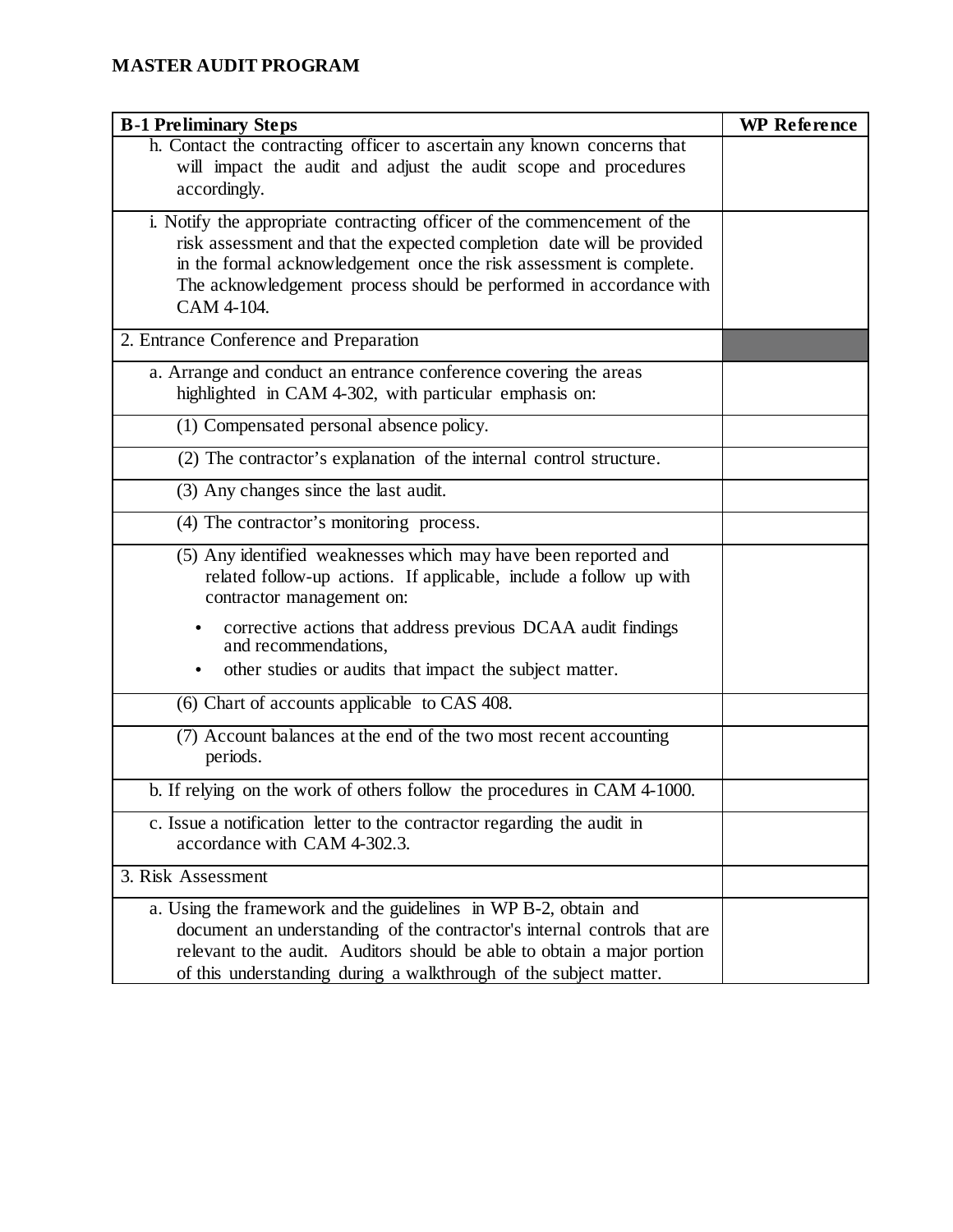| <b>B-1 Preliminary Steps</b>                                                                                                                                                                                                                                                                                  | <b>WP</b> Reference |
|---------------------------------------------------------------------------------------------------------------------------------------------------------------------------------------------------------------------------------------------------------------------------------------------------------------|---------------------|
| h. Contact the contracting officer to ascertain any known concerns that<br>will impact the audit and adjust the audit scope and procedures<br>accordingly.                                                                                                                                                    |                     |
| i. Notify the appropriate contracting officer of the commencement of the<br>risk assessment and that the expected completion date will be provided<br>in the formal acknowledgement once the risk assessment is complete.<br>The acknowledgement process should be performed in accordance with<br>CAM 4-104. |                     |
| 2. Entrance Conference and Preparation                                                                                                                                                                                                                                                                        |                     |
| a. Arrange and conduct an entrance conference covering the areas<br>highlighted in CAM 4-302, with particular emphasis on:                                                                                                                                                                                    |                     |
| (1) Compensated personal absence policy.                                                                                                                                                                                                                                                                      |                     |
| (2) The contractor's explanation of the internal control structure.                                                                                                                                                                                                                                           |                     |
| (3) Any changes since the last audit.                                                                                                                                                                                                                                                                         |                     |
| (4) The contractor's monitoring process.                                                                                                                                                                                                                                                                      |                     |
| (5) Any identified weaknesses which may have been reported and<br>related follow-up actions. If applicable, include a follow up with<br>contractor management on:                                                                                                                                             |                     |
| corrective actions that address previous DCAA audit findings<br>and recommendations,<br>other studies or audits that impact the subject matter.                                                                                                                                                               |                     |
| (6) Chart of accounts applicable to CAS 408.                                                                                                                                                                                                                                                                  |                     |
| (7) Account balances at the end of the two most recent accounting<br>periods.                                                                                                                                                                                                                                 |                     |
| b. If relying on the work of others follow the procedures in CAM 4-1000.                                                                                                                                                                                                                                      |                     |
| c. Issue a notification letter to the contractor regarding the audit in<br>accordance with CAM 4-302.3.                                                                                                                                                                                                       |                     |
| 3. Risk Assessment                                                                                                                                                                                                                                                                                            |                     |
| a. Using the framework and the guidelines in WP B-2, obtain and<br>document an understanding of the contractor's internal controls that are<br>relevant to the audit. Auditors should be able to obtain a major portion<br>of this understanding during a walkthrough of the subject matter.                  |                     |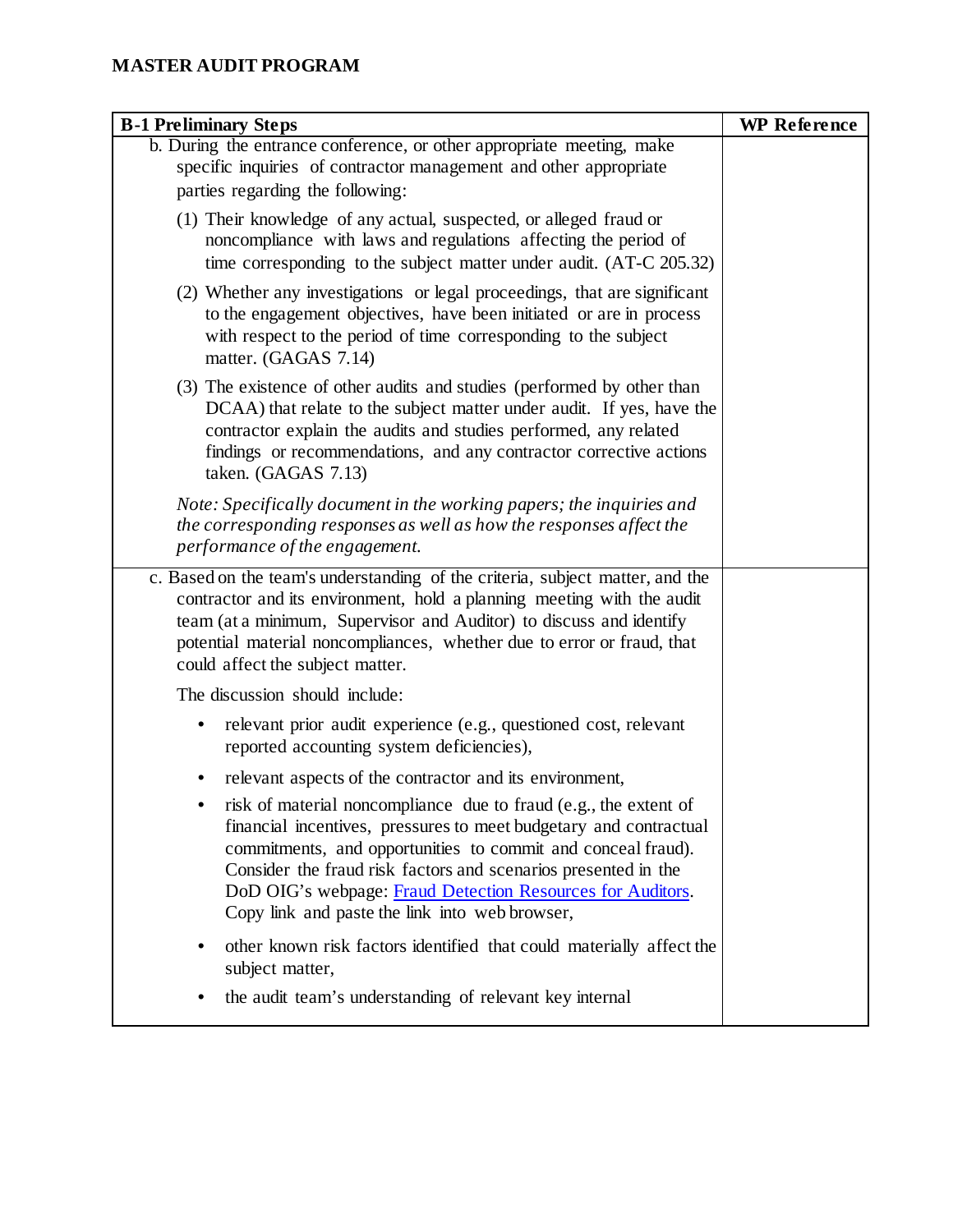| <b>B-1 Preliminary Steps</b>                                                                                                                                                                                                                                                                                                                                                            | <b>WP</b> Reference |
|-----------------------------------------------------------------------------------------------------------------------------------------------------------------------------------------------------------------------------------------------------------------------------------------------------------------------------------------------------------------------------------------|---------------------|
| b. During the entrance conference, or other appropriate meeting, make                                                                                                                                                                                                                                                                                                                   |                     |
| specific inquiries of contractor management and other appropriate<br>parties regarding the following:                                                                                                                                                                                                                                                                                   |                     |
| (1) Their knowledge of any actual, suspected, or alleged fraud or                                                                                                                                                                                                                                                                                                                       |                     |
| noncompliance with laws and regulations affecting the period of<br>time corresponding to the subject matter under audit. (AT-C 205.32)                                                                                                                                                                                                                                                  |                     |
| (2) Whether any investigations or legal proceedings, that are significant<br>to the engagement objectives, have been initiated or are in process<br>with respect to the period of time corresponding to the subject<br>matter. (GAGAS 7.14)                                                                                                                                             |                     |
| (3) The existence of other audits and studies (performed by other than<br>DCAA) that relate to the subject matter under audit. If yes, have the<br>contractor explain the audits and studies performed, any related<br>findings or recommendations, and any contractor corrective actions<br>taken. (GAGAS 7.13)                                                                        |                     |
| Note: Specifically document in the working papers; the inquiries and<br>the corresponding responses as well as how the responses affect the<br>performance of the engagement.                                                                                                                                                                                                           |                     |
| c. Based on the team's understanding of the criteria, subject matter, and the<br>contractor and its environment, hold a planning meeting with the audit<br>team (at a minimum, Supervisor and Auditor) to discuss and identify<br>potential material noncompliances, whether due to error or fraud, that<br>could affect the subject matter.                                            |                     |
| The discussion should include:                                                                                                                                                                                                                                                                                                                                                          |                     |
| relevant prior audit experience (e.g., questioned cost, relevant<br>$\bullet$<br>reported accounting system deficiencies),                                                                                                                                                                                                                                                              |                     |
| relevant aspects of the contractor and its environment,                                                                                                                                                                                                                                                                                                                                 |                     |
| risk of material noncompliance due to fraud (e.g., the extent of<br>financial incentives, pressures to meet budgetary and contractual<br>commitments, and opportunities to commit and conceal fraud).<br>Consider the fraud risk factors and scenarios presented in the<br>DoD OIG's webpage: Fraud Detection Resources for Auditors.<br>Copy link and paste the link into web browser, |                     |
| other known risk factors identified that could materially affect the<br>subject matter,                                                                                                                                                                                                                                                                                                 |                     |
| the audit team's understanding of relevant key internal                                                                                                                                                                                                                                                                                                                                 |                     |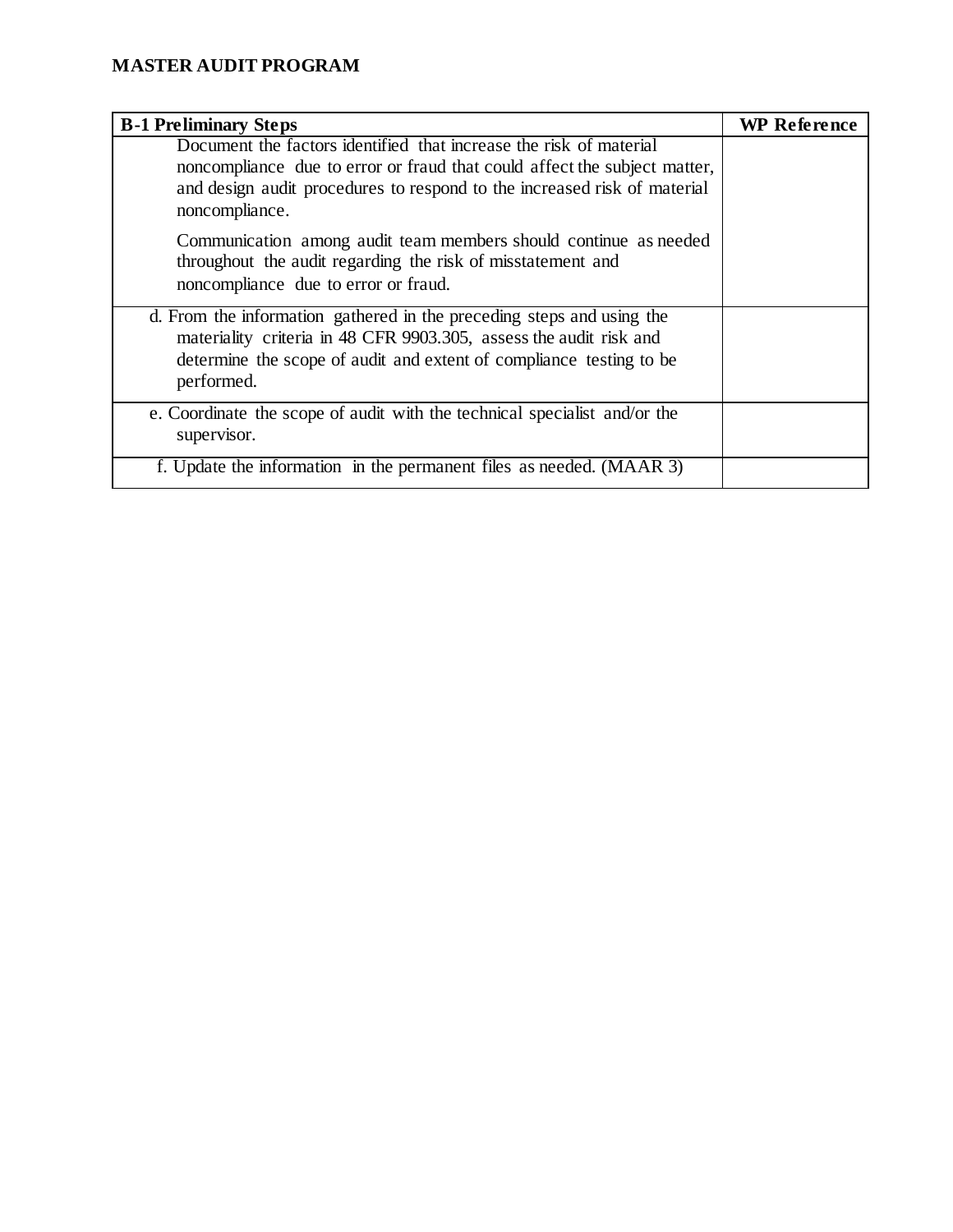| <b>B-1 Preliminary Steps</b>                                                                                                                                                                                                                  | <b>WP Reference</b> |
|-----------------------------------------------------------------------------------------------------------------------------------------------------------------------------------------------------------------------------------------------|---------------------|
| Document the factors identified that increase the risk of material<br>noncompliance due to error or fraud that could affect the subject matter,<br>and design audit procedures to respond to the increased risk of material<br>noncompliance. |                     |
| Communication among audit team members should continue as needed<br>throughout the audit regarding the risk of misstatement and<br>noncompliance due to error or fraud.                                                                       |                     |
| d. From the information gathered in the preceding steps and using the<br>materiality criteria in 48 CFR 9903.305, assess the audit risk and<br>determine the scope of audit and extent of compliance testing to be<br>performed.              |                     |
| e. Coordinate the scope of audit with the technical specialist and/or the<br>supervisor.                                                                                                                                                      |                     |
| f. Update the information in the permanent files as needed. (MAAR 3)                                                                                                                                                                          |                     |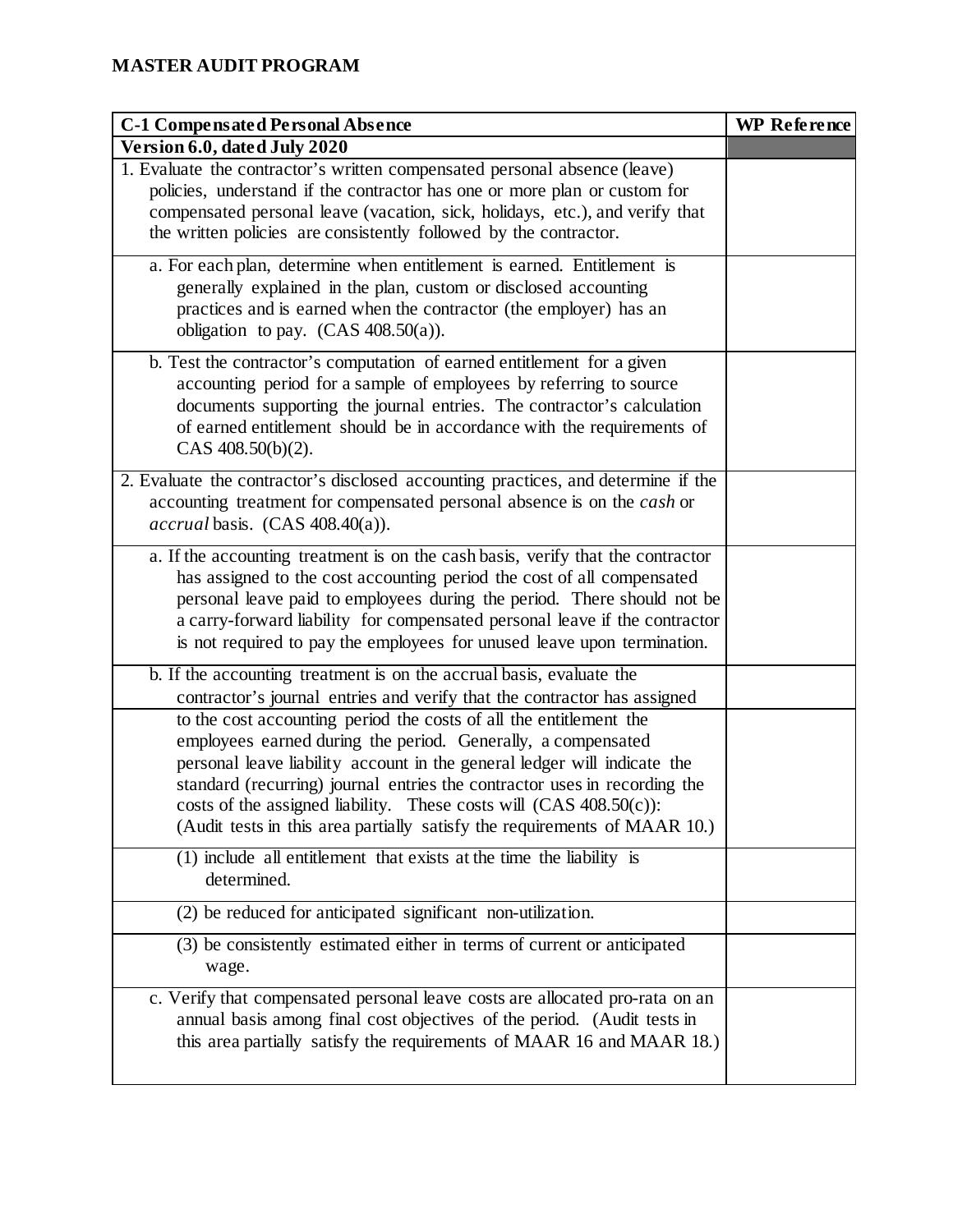| <b>C-1 Compensated Personal Absence</b>                                                                                                                                                                                                                                                                                                                                                                                                           | <b>WP</b> Reference |
|---------------------------------------------------------------------------------------------------------------------------------------------------------------------------------------------------------------------------------------------------------------------------------------------------------------------------------------------------------------------------------------------------------------------------------------------------|---------------------|
| Version 6.0, dated July 2020                                                                                                                                                                                                                                                                                                                                                                                                                      |                     |
| 1. Evaluate the contractor's written compensated personal absence (leave)<br>policies, understand if the contractor has one or more plan or custom for<br>compensated personal leave (vacation, sick, holidays, etc.), and verify that<br>the written policies are consistently followed by the contractor.                                                                                                                                       |                     |
| a. For each plan, determine when entitlement is earned. Entitlement is<br>generally explained in the plan, custom or disclosed accounting<br>practices and is earned when the contractor (the employer) has an<br>obligation to pay. $(CAS 408.50(a))$ .                                                                                                                                                                                          |                     |
| b. Test the contractor's computation of earned entitlement for a given<br>accounting period for a sample of employees by referring to source<br>documents supporting the journal entries. The contractor's calculation<br>of earned entitlement should be in accordance with the requirements of<br>CAS $408.50(b)(2)$ .                                                                                                                          |                     |
| 2. Evaluate the contractor's disclosed accounting practices, and determine if the<br>accounting treatment for compensated personal absence is on the cash or<br>$\alpha$ ccrual basis. (CAS 408.40(a)).                                                                                                                                                                                                                                           |                     |
| a. If the accounting treatment is on the cash basis, verify that the contractor<br>has assigned to the cost accounting period the cost of all compensated<br>personal leave paid to employees during the period. There should not be<br>a carry-forward liability for compensated personal leave if the contractor<br>is not required to pay the employees for unused leave upon termination.                                                     |                     |
| b. If the accounting treatment is on the accrual basis, evaluate the<br>contractor's journal entries and verify that the contractor has assigned                                                                                                                                                                                                                                                                                                  |                     |
| to the cost accounting period the costs of all the entitlement the<br>employees earned during the period. Generally, a compensated<br>personal leave liability account in the general ledger will indicate the<br>standard (recurring) journal entries the contractor uses in recording the<br>costs of the assigned liability. These costs will $(CAS 408.50(c))$ :<br>(Audit tests in this area partially satisfy the requirements of MAAR 10.) |                     |
| (1) include all entitlement that exists at the time the liability is<br>determined.                                                                                                                                                                                                                                                                                                                                                               |                     |
| (2) be reduced for anticipated significant non-utilization.                                                                                                                                                                                                                                                                                                                                                                                       |                     |
| (3) be consistently estimated either in terms of current or anticipated<br>wage.                                                                                                                                                                                                                                                                                                                                                                  |                     |
| c. Verify that compensated personal leave costs are allocated pro-rata on an<br>annual basis among final cost objectives of the period. (Audit tests in<br>this area partially satisfy the requirements of MAAR 16 and MAAR 18.)                                                                                                                                                                                                                  |                     |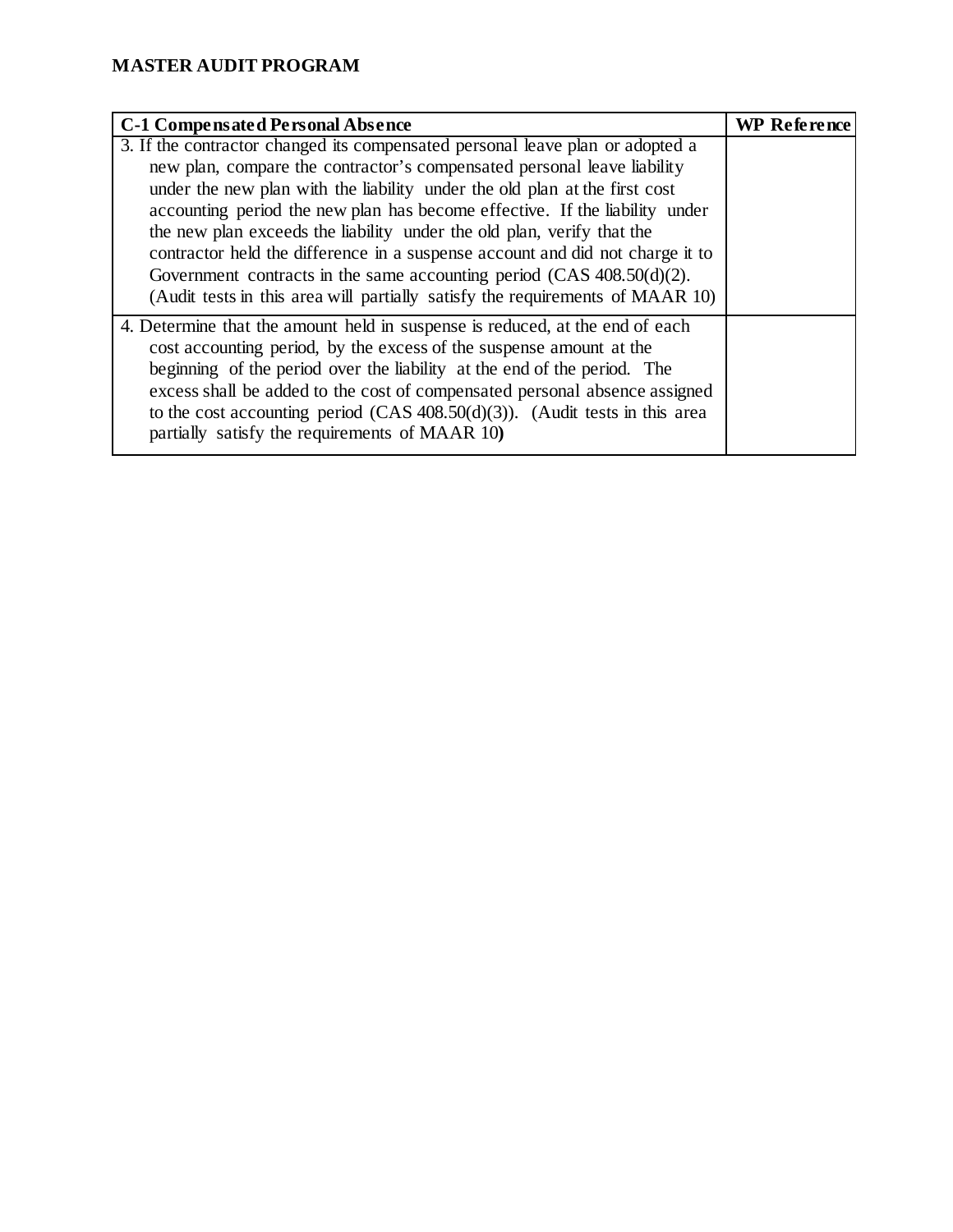| <b>C-1 Compensated Personal Absence</b>                                        | WP Reference |
|--------------------------------------------------------------------------------|--------------|
| 3. If the contractor changed its compensated personal leave plan or adopted a  |              |
| new plan, compare the contractor's compensated personal leave liability        |              |
| under the new plan with the liability under the old plan at the first cost     |              |
| accounting period the new plan has become effective. If the liability under    |              |
| the new plan exceeds the liability under the old plan, verify that the         |              |
| contractor held the difference in a suspense account and did not charge it to  |              |
| Government contracts in the same accounting period $(CAS 408.50(d)(2)$ .       |              |
| (Audit tests in this area will partially satisfy the requirements of MAAR 10)  |              |
| 4. Determine that the amount held in suspense is reduced, at the end of each   |              |
| cost accounting period, by the excess of the suspense amount at the            |              |
| beginning of the period over the liability at the end of the period. The       |              |
| excess shall be added to the cost of compensated personal absence assigned     |              |
| to the cost accounting period $(CAS 408.50(d)(3))$ . (Audit tests in this area |              |
| partially satisfy the requirements of MAAR 10)                                 |              |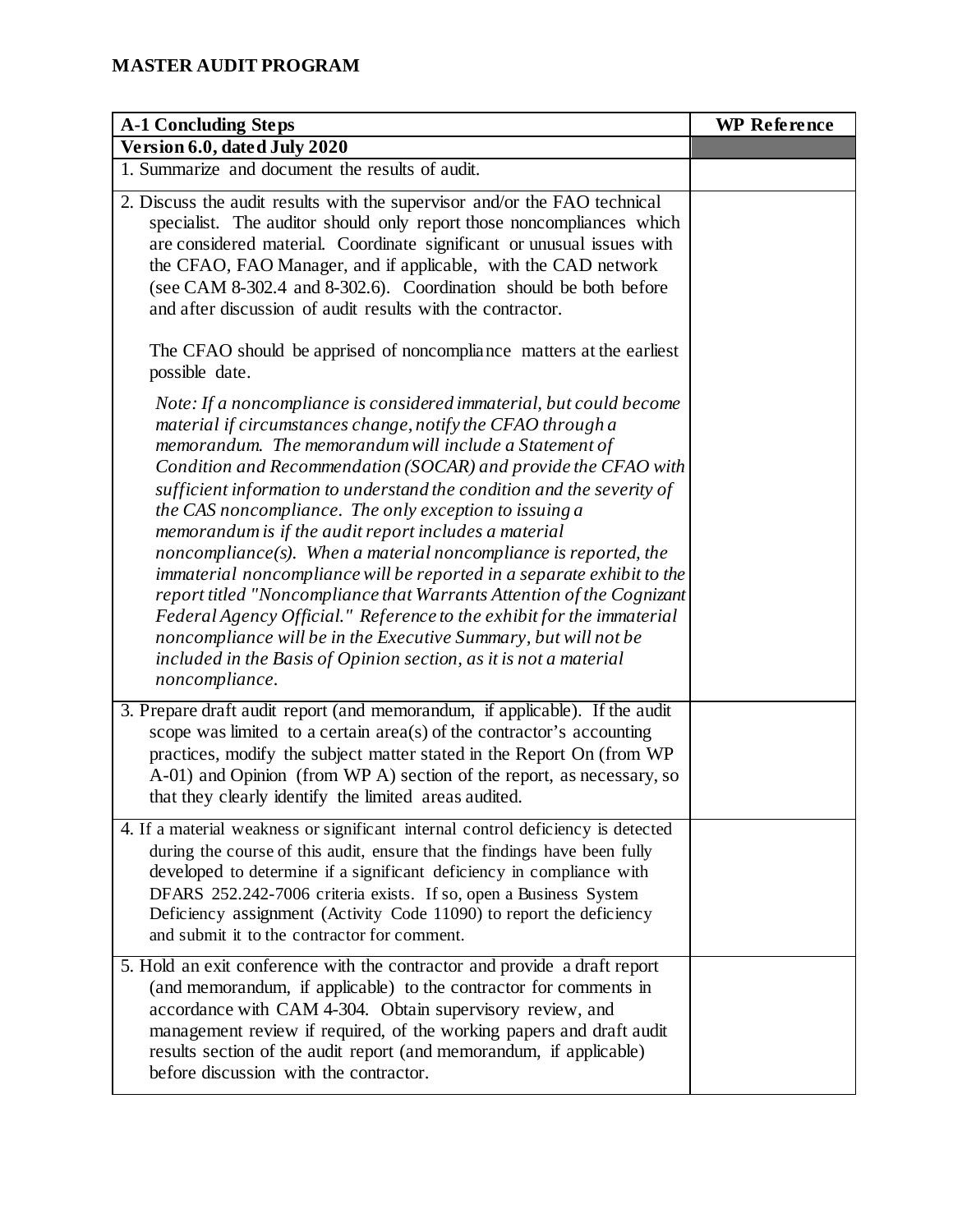| <b>A-1 Concluding Steps</b>                                                                                                                                                                                                                                                                                                                                                                                                                                                                                                                                                                                                                                                                                                                                                                                                                                                                                           | <b>WP</b> Reference |
|-----------------------------------------------------------------------------------------------------------------------------------------------------------------------------------------------------------------------------------------------------------------------------------------------------------------------------------------------------------------------------------------------------------------------------------------------------------------------------------------------------------------------------------------------------------------------------------------------------------------------------------------------------------------------------------------------------------------------------------------------------------------------------------------------------------------------------------------------------------------------------------------------------------------------|---------------------|
| Version 6.0, dated July 2020                                                                                                                                                                                                                                                                                                                                                                                                                                                                                                                                                                                                                                                                                                                                                                                                                                                                                          |                     |
| 1. Summarize and document the results of audit.                                                                                                                                                                                                                                                                                                                                                                                                                                                                                                                                                                                                                                                                                                                                                                                                                                                                       |                     |
| 2. Discuss the audit results with the supervisor and/or the FAO technical<br>specialist. The auditor should only report those noncompliances which<br>are considered material. Coordinate significant or unusual issues with<br>the CFAO, FAO Manager, and if applicable, with the CAD network<br>(see CAM 8-302.4 and 8-302.6). Coordination should be both before<br>and after discussion of audit results with the contractor.                                                                                                                                                                                                                                                                                                                                                                                                                                                                                     |                     |
| The CFAO should be apprised of noncompliance matters at the earliest<br>possible date.                                                                                                                                                                                                                                                                                                                                                                                                                                                                                                                                                                                                                                                                                                                                                                                                                                |                     |
| Note: If a noncompliance is considered immaterial, but could become<br>material if circumstances change, notify the CFAO through a<br>memorandum. The memorandum will include a Statement of<br>Condition and Recommendation (SOCAR) and provide the CFAO with<br>sufficient information to understand the condition and the severity of<br>the CAS noncompliance. The only exception to issuing a<br>memorandum is if the audit report includes a material<br>noncompliance(s). When a material noncompliance is reported, the<br>immaterial noncompliance will be reported in a separate exhibit to the<br>report titled "Noncompliance that Warrants Attention of the Cognizant<br>Federal Agency Official." Reference to the exhibit for the immaterial<br>noncompliance will be in the Executive Summary, but will not be<br>included in the Basis of Opinion section, as it is not a material<br>noncompliance. |                     |
| 3. Prepare draft audit report (and memorandum, if applicable). If the audit<br>scope was limited to a certain $area(s)$ of the contractor's accounting<br>practices, modify the subject matter stated in the Report On (from WP<br>A-01) and Opinion (from WP A) section of the report, as necessary, so<br>that they clearly identify the limited areas audited.                                                                                                                                                                                                                                                                                                                                                                                                                                                                                                                                                     |                     |
| 4. If a material weakness or significant internal control deficiency is detected<br>during the course of this audit, ensure that the findings have been fully<br>developed to determine if a significant deficiency in compliance with<br>DFARS 252.242-7006 criteria exists. If so, open a Business System<br>Deficiency assignment (Activity Code 11090) to report the deficiency<br>and submit it to the contractor for comment.                                                                                                                                                                                                                                                                                                                                                                                                                                                                                   |                     |
| 5. Hold an exit conference with the contractor and provide a draft report<br>(and memorandum, if applicable) to the contractor for comments in<br>accordance with CAM 4-304. Obtain supervisory review, and<br>management review if required, of the working papers and draft audit<br>results section of the audit report (and memorandum, if applicable)<br>before discussion with the contractor.                                                                                                                                                                                                                                                                                                                                                                                                                                                                                                                  |                     |